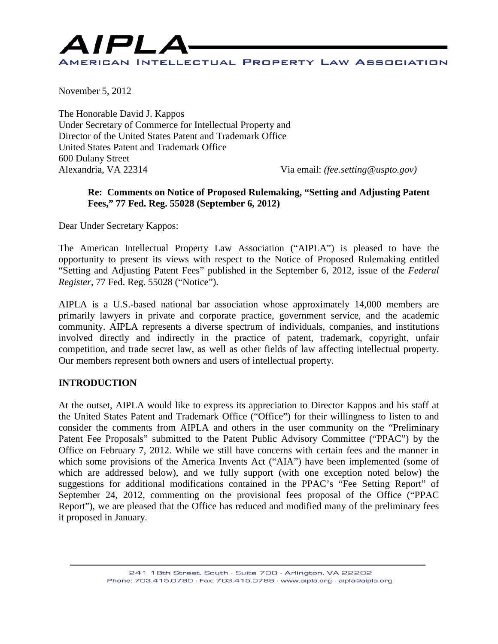

November 5, 2012

The Honorable David J. Kappos Under Secretary of Commerce for Intellectual Property and Director of the United States Patent and Trademark Office United States Patent and Trademark Office 600 Dulany Street Alexandria, VA 22314 Via email: *(fee.setting@uspto.gov)* 

#### **Re: Comments on Notice of Proposed Rulemaking, "Setting and Adjusting Patent Fees," 77 Fed. Reg. 55028 (September 6, 2012)**

Dear Under Secretary Kappos:

The American Intellectual Property Law Association ("AIPLA") is pleased to have the opportunity to present its views with respect to the Notice of Proposed Rulemaking entitled "Setting and Adjusting Patent Fees" published in the September 6, 2012, issue of the *Federal Register*, 77 Fed. Reg. 55028 ("Notice").

AIPLA is a U.S.-based national bar association whose approximately 14,000 members are primarily lawyers in private and corporate practice, government service, and the academic community. AIPLA represents a diverse spectrum of individuals, companies, and institutions involved directly and indirectly in the practice of patent, trademark, copyright, unfair competition, and trade secret law, as well as other fields of law affecting intellectual property. Our members represent both owners and users of intellectual property.

#### **INTRODUCTION**

At the outset, AIPLA would like to express its appreciation to Director Kappos and his staff at the United States Patent and Trademark Office ("Office") for their willingness to listen to and consider the comments from AIPLA and others in the user community on the "Preliminary Patent Fee Proposals" submitted to the Patent Public Advisory Committee ("PPAC") by the Office on February 7, 2012. While we still have concerns with certain fees and the manner in which some provisions of the America Invents Act ("AIA") have been implemented (some of which are addressed below), and we fully support (with one exception noted below) the suggestions for additional modifications contained in the PPAC's "Fee Setting Report" of September 24, 2012, commenting on the provisional fees proposal of the Office ("PPAC Report"), we are pleased that the Office has reduced and modified many of the preliminary fees it proposed in January.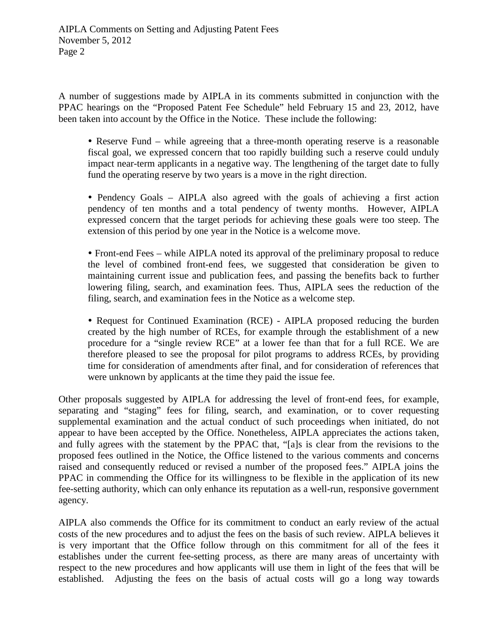A number of suggestions made by AIPLA in its comments submitted in conjunction with the PPAC hearings on the "Proposed Patent Fee Schedule" held February 15 and 23, 2012, have been taken into account by the Office in the Notice. These include the following:

• Reserve Fund – while agreeing that a three-month operating reserve is a reasonable fiscal goal, we expressed concern that too rapidly building such a reserve could unduly impact near-term applicants in a negative way. The lengthening of the target date to fully fund the operating reserve by two years is a move in the right direction.

• Pendency Goals – AIPLA also agreed with the goals of achieving a first action pendency of ten months and a total pendency of twenty months. However, AIPLA expressed concern that the target periods for achieving these goals were too steep. The extension of this period by one year in the Notice is a welcome move.

 Front-end Fees – while AIPLA noted its approval of the preliminary proposal to reduce the level of combined front-end fees, we suggested that consideration be given to maintaining current issue and publication fees, and passing the benefits back to further lowering filing, search, and examination fees. Thus, AIPLA sees the reduction of the filing, search, and examination fees in the Notice as a welcome step.

• Request for Continued Examination (RCE) - AIPLA proposed reducing the burden created by the high number of RCEs, for example through the establishment of a new procedure for a "single review RCE" at a lower fee than that for a full RCE. We are therefore pleased to see the proposal for pilot programs to address RCEs, by providing time for consideration of amendments after final, and for consideration of references that were unknown by applicants at the time they paid the issue fee.

Other proposals suggested by AIPLA for addressing the level of front-end fees, for example, separating and "staging" fees for filing, search, and examination, or to cover requesting supplemental examination and the actual conduct of such proceedings when initiated, do not appear to have been accepted by the Office. Nonetheless, AIPLA appreciates the actions taken, and fully agrees with the statement by the PPAC that, "[a]s is clear from the revisions to the proposed fees outlined in the Notice, the Office listened to the various comments and concerns raised and consequently reduced or revised a number of the proposed fees." AIPLA joins the PPAC in commending the Office for its willingness to be flexible in the application of its new fee-setting authority, which can only enhance its reputation as a well-run, responsive government agency.

AIPLA also commends the Office for its commitment to conduct an early review of the actual costs of the new procedures and to adjust the fees on the basis of such review. AIPLA believes it is very important that the Office follow through on this commitment for all of the fees it establishes under the current fee-setting process, as there are many areas of uncertainty with respect to the new procedures and how applicants will use them in light of the fees that will be established. Adjusting the fees on the basis of actual costs will go a long way towards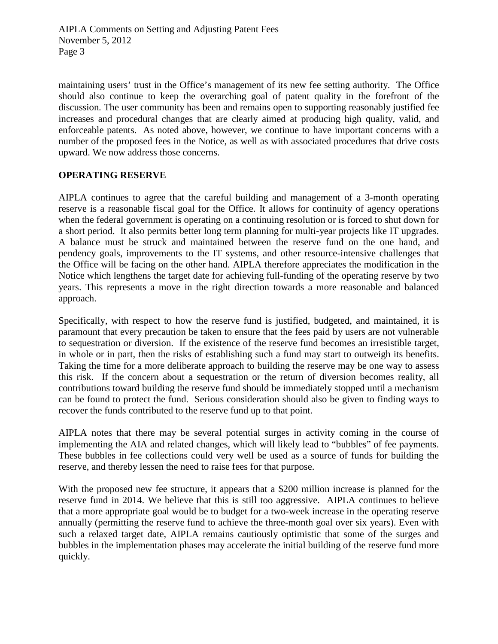maintaining users' trust in the Office's management of its new fee setting authority. The Office should also continue to keep the overarching goal of patent quality in the forefront of the discussion. The user community has been and remains open to supporting reasonably justified fee increases and procedural changes that are clearly aimed at producing high quality, valid, and enforceable patents. As noted above, however, we continue to have important concerns with a number of the proposed fees in the Notice, as well as with associated procedures that drive costs upward. We now address those concerns.

### **OPERATING RESERVE**

AIPLA continues to agree that the careful building and management of a 3-month operating reserve is a reasonable fiscal goal for the Office. It allows for continuity of agency operations when the federal government is operating on a continuing resolution or is forced to shut down for a short period. It also permits better long term planning for multi-year projects like IT upgrades. A balance must be struck and maintained between the reserve fund on the one hand, and pendency goals, improvements to the IT systems, and other resource-intensive challenges that the Office will be facing on the other hand. AIPLA therefore appreciates the modification in the Notice which lengthens the target date for achieving full-funding of the operating reserve by two years. This represents a move in the right direction towards a more reasonable and balanced approach.

Specifically, with respect to how the reserve fund is justified, budgeted, and maintained, it is paramount that every precaution be taken to ensure that the fees paid by users are not vulnerable to sequestration or diversion. If the existence of the reserve fund becomes an irresistible target, in whole or in part, then the risks of establishing such a fund may start to outweigh its benefits. Taking the time for a more deliberate approach to building the reserve may be one way to assess this risk. If the concern about a sequestration or the return of diversion becomes reality, all contributions toward building the reserve fund should be immediately stopped until a mechanism can be found to protect the fund. Serious consideration should also be given to finding ways to recover the funds contributed to the reserve fund up to that point.

AIPLA notes that there may be several potential surges in activity coming in the course of implementing the AIA and related changes, which will likely lead to "bubbles" of fee payments. These bubbles in fee collections could very well be used as a source of funds for building the reserve, and thereby lessen the need to raise fees for that purpose.

With the proposed new fee structure, it appears that a \$200 million increase is planned for the reserve fund in 2014. We believe that this is still too aggressive. AIPLA continues to believe that a more appropriate goal would be to budget for a two-week increase in the operating reserve annually (permitting the reserve fund to achieve the three-month goal over six years). Even with such a relaxed target date, AIPLA remains cautiously optimistic that some of the surges and bubbles in the implementation phases may accelerate the initial building of the reserve fund more quickly.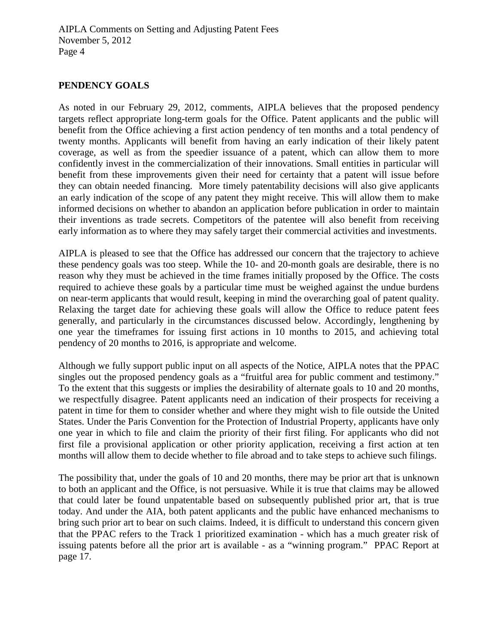### **PENDENCY GOALS**

As noted in our February 29, 2012, comments, AIPLA believes that the proposed pendency targets reflect appropriate long-term goals for the Office. Patent applicants and the public will benefit from the Office achieving a first action pendency of ten months and a total pendency of twenty months. Applicants will benefit from having an early indication of their likely patent coverage, as well as from the speedier issuance of a patent, which can allow them to more confidently invest in the commercialization of their innovations. Small entities in particular will benefit from these improvements given their need for certainty that a patent will issue before they can obtain needed financing. More timely patentability decisions will also give applicants an early indication of the scope of any patent they might receive. This will allow them to make informed decisions on whether to abandon an application before publication in order to maintain their inventions as trade secrets. Competitors of the patentee will also benefit from receiving early information as to where they may safely target their commercial activities and investments.

AIPLA is pleased to see that the Office has addressed our concern that the trajectory to achieve these pendency goals was too steep. While the 10- and 20-month goals are desirable, there is no reason why they must be achieved in the time frames initially proposed by the Office. The costs required to achieve these goals by a particular time must be weighed against the undue burdens on near-term applicants that would result, keeping in mind the overarching goal of patent quality. Relaxing the target date for achieving these goals will allow the Office to reduce patent fees generally, and particularly in the circumstances discussed below. Accordingly, lengthening by one year the timeframes for issuing first actions in 10 months to 2015, and achieving total pendency of 20 months to 2016, is appropriate and welcome.

Although we fully support public input on all aspects of the Notice, AIPLA notes that the PPAC singles out the proposed pendency goals as a "fruitful area for public comment and testimony." To the extent that this suggests or implies the desirability of alternate goals to 10 and 20 months, we respectfully disagree. Patent applicants need an indication of their prospects for receiving a patent in time for them to consider whether and where they might wish to file outside the United States. Under the Paris Convention for the Protection of Industrial Property, applicants have only one year in which to file and claim the priority of their first filing. For applicants who did not first file a provisional application or other priority application, receiving a first action at ten months will allow them to decide whether to file abroad and to take steps to achieve such filings.

The possibility that, under the goals of 10 and 20 months, there may be prior art that is unknown to both an applicant and the Office, is not persuasive. While it is true that claims may be allowed that could later be found unpatentable based on subsequently published prior art, that is true today. And under the AIA, both patent applicants and the public have enhanced mechanisms to bring such prior art to bear on such claims. Indeed, it is difficult to understand this concern given that the PPAC refers to the Track 1 prioritized examination - which has a much greater risk of issuing patents before all the prior art is available - as a "winning program." PPAC Report at page 17.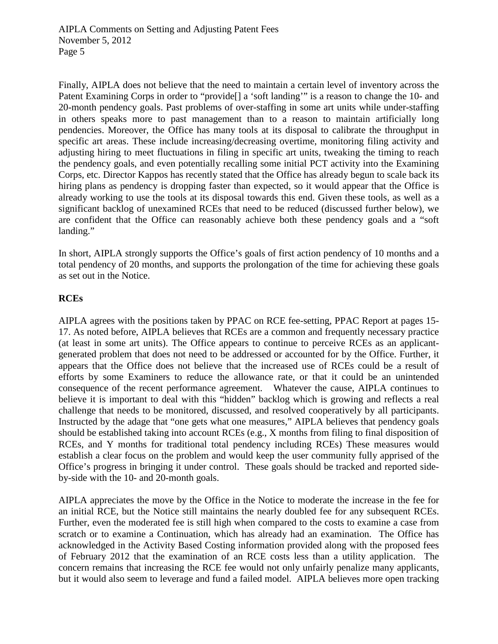Finally, AIPLA does not believe that the need to maintain a certain level of inventory across the Patent Examining Corps in order to "provide<sup>[]</sup> a 'soft landing'" is a reason to change the 10- and 20-month pendency goals. Past problems of over-staffing in some art units while under-staffing in others speaks more to past management than to a reason to maintain artificially long pendencies. Moreover, the Office has many tools at its disposal to calibrate the throughput in specific art areas. These include increasing/decreasing overtime, monitoring filing activity and adjusting hiring to meet fluctuations in filing in specific art units, tweaking the timing to reach the pendency goals, and even potentially recalling some initial PCT activity into the Examining Corps, etc. Director Kappos has recently stated that the Office has already begun to scale back its hiring plans as pendency is dropping faster than expected, so it would appear that the Office is already working to use the tools at its disposal towards this end. Given these tools, as well as a significant backlog of unexamined RCEs that need to be reduced (discussed further below), we are confident that the Office can reasonably achieve both these pendency goals and a "soft landing."

In short, AIPLA strongly supports the Office's goals of first action pendency of 10 months and a total pendency of 20 months, and supports the prolongation of the time for achieving these goals as set out in the Notice.

#### **RCEs**

AIPLA agrees with the positions taken by PPAC on RCE fee-setting, PPAC Report at pages 15- 17. As noted before, AIPLA believes that RCEs are a common and frequently necessary practice (at least in some art units). The Office appears to continue to perceive RCEs as an applicantgenerated problem that does not need to be addressed or accounted for by the Office. Further, it appears that the Office does not believe that the increased use of RCEs could be a result of efforts by some Examiners to reduce the allowance rate, or that it could be an unintended consequence of the recent performance agreement. Whatever the cause, AIPLA continues to believe it is important to deal with this "hidden" backlog which is growing and reflects a real challenge that needs to be monitored, discussed, and resolved cooperatively by all participants. Instructed by the adage that "one gets what one measures," AIPLA believes that pendency goals should be established taking into account RCEs (e.g., X months from filing to final disposition of RCEs, and Y months for traditional total pendency including RCEs) These measures would establish a clear focus on the problem and would keep the user community fully apprised of the Office's progress in bringing it under control. These goals should be tracked and reported sideby-side with the 10- and 20-month goals.

AIPLA appreciates the move by the Office in the Notice to moderate the increase in the fee for an initial RCE, but the Notice still maintains the nearly doubled fee for any subsequent RCEs. Further, even the moderated fee is still high when compared to the costs to examine a case from scratch or to examine a Continuation, which has already had an examination. The Office has acknowledged in the Activity Based Costing information provided along with the proposed fees of February 2012 that the examination of an RCE costs less than a utility application. The concern remains that increasing the RCE fee would not only unfairly penalize many applicants, but it would also seem to leverage and fund a failed model. AIPLA believes more open tracking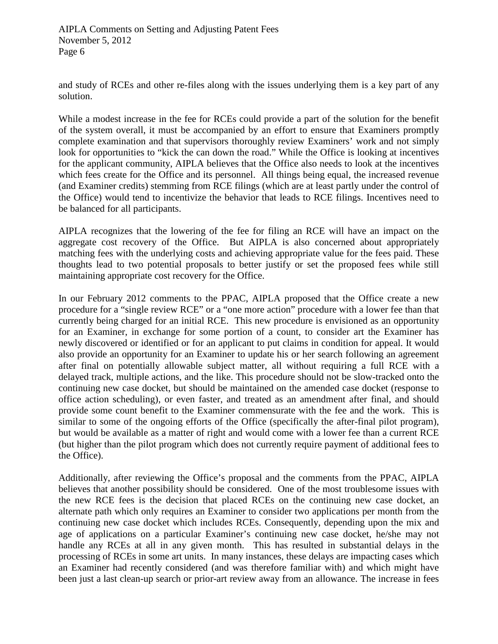and study of RCEs and other re-files along with the issues underlying them is a key part of any solution.

While a modest increase in the fee for RCEs could provide a part of the solution for the benefit of the system overall, it must be accompanied by an effort to ensure that Examiners promptly complete examination and that supervisors thoroughly review Examiners' work and not simply look for opportunities to "kick the can down the road." While the Office is looking at incentives for the applicant community, AIPLA believes that the Office also needs to look at the incentives which fees create for the Office and its personnel. All things being equal, the increased revenue (and Examiner credits) stemming from RCE filings (which are at least partly under the control of the Office) would tend to incentivize the behavior that leads to RCE filings. Incentives need to be balanced for all participants.

AIPLA recognizes that the lowering of the fee for filing an RCE will have an impact on the aggregate cost recovery of the Office. But AIPLA is also concerned about appropriately matching fees with the underlying costs and achieving appropriate value for the fees paid. These thoughts lead to two potential proposals to better justify or set the proposed fees while still maintaining appropriate cost recovery for the Office.

In our February 2012 comments to the PPAC, AIPLA proposed that the Office create a new procedure for a "single review RCE" or a "one more action" procedure with a lower fee than that currently being charged for an initial RCE. This new procedure is envisioned as an opportunity for an Examiner, in exchange for some portion of a count, to consider art the Examiner has newly discovered or identified or for an applicant to put claims in condition for appeal. It would also provide an opportunity for an Examiner to update his or her search following an agreement after final on potentially allowable subject matter, all without requiring a full RCE with a delayed track, multiple actions, and the like. This procedure should not be slow-tracked onto the continuing new case docket, but should be maintained on the amended case docket (response to office action scheduling), or even faster, and treated as an amendment after final, and should provide some count benefit to the Examiner commensurate with the fee and the work. This is similar to some of the ongoing efforts of the Office (specifically the after-final pilot program), but would be available as a matter of right and would come with a lower fee than a current RCE (but higher than the pilot program which does not currently require payment of additional fees to the Office).

Additionally, after reviewing the Office's proposal and the comments from the PPAC, AIPLA believes that another possibility should be considered. One of the most troublesome issues with the new RCE fees is the decision that placed RCEs on the continuing new case docket, an alternate path which only requires an Examiner to consider two applications per month from the continuing new case docket which includes RCEs. Consequently, depending upon the mix and age of applications on a particular Examiner's continuing new case docket, he/she may not handle any RCEs at all in any given month. This has resulted in substantial delays in the processing of RCEs in some art units. In many instances, these delays are impacting cases which an Examiner had recently considered (and was therefore familiar with) and which might have been just a last clean-up search or prior-art review away from an allowance. The increase in fees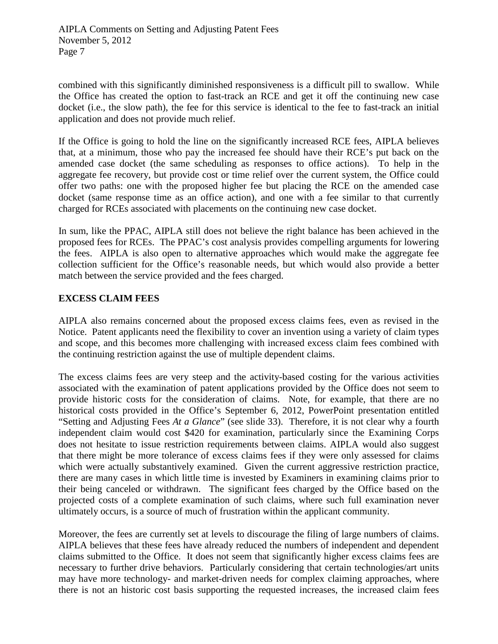combined with this significantly diminished responsiveness is a difficult pill to swallow. While the Office has created the option to fast-track an RCE and get it off the continuing new case docket (i.e., the slow path), the fee for this service is identical to the fee to fast-track an initial application and does not provide much relief.

If the Office is going to hold the line on the significantly increased RCE fees, AIPLA believes that, at a minimum, those who pay the increased fee should have their RCE's put back on the amended case docket (the same scheduling as responses to office actions). To help in the aggregate fee recovery, but provide cost or time relief over the current system, the Office could offer two paths: one with the proposed higher fee but placing the RCE on the amended case docket (same response time as an office action), and one with a fee similar to that currently charged for RCEs associated with placements on the continuing new case docket.

In sum, like the PPAC, AIPLA still does not believe the right balance has been achieved in the proposed fees for RCEs. The PPAC's cost analysis provides compelling arguments for lowering the fees. AIPLA is also open to alternative approaches which would make the aggregate fee collection sufficient for the Office's reasonable needs, but which would also provide a better match between the service provided and the fees charged.

### **EXCESS CLAIM FEES**

AIPLA also remains concerned about the proposed excess claims fees, even as revised in the Notice. Patent applicants need the flexibility to cover an invention using a variety of claim types and scope, and this becomes more challenging with increased excess claim fees combined with the continuing restriction against the use of multiple dependent claims.

The excess claims fees are very steep and the activity-based costing for the various activities associated with the examination of patent applications provided by the Office does not seem to provide historic costs for the consideration of claims. Note, for example, that there are no historical costs provided in the Office's September 6, 2012, PowerPoint presentation entitled "Setting and Adjusting Fees *At a Glance*" (see slide 33). Therefore, it is not clear why a fourth independent claim would cost \$420 for examination, particularly since the Examining Corps does not hesitate to issue restriction requirements between claims. AIPLA would also suggest that there might be more tolerance of excess claims fees if they were only assessed for claims which were actually substantively examined. Given the current aggressive restriction practice, there are many cases in which little time is invested by Examiners in examining claims prior to their being canceled or withdrawn. The significant fees charged by the Office based on the projected costs of a complete examination of such claims, where such full examination never ultimately occurs, is a source of much of frustration within the applicant community.

Moreover, the fees are currently set at levels to discourage the filing of large numbers of claims. AIPLA believes that these fees have already reduced the numbers of independent and dependent claims submitted to the Office. It does not seem that significantly higher excess claims fees are necessary to further drive behaviors. Particularly considering that certain technologies/art units may have more technology- and market-driven needs for complex claiming approaches, where there is not an historic cost basis supporting the requested increases, the increased claim fees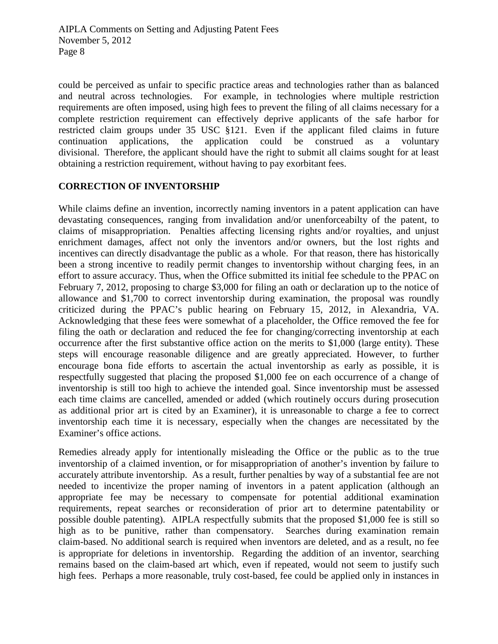could be perceived as unfair to specific practice areas and technologies rather than as balanced and neutral across technologies. For example, in technologies where multiple restriction requirements are often imposed, using high fees to prevent the filing of all claims necessary for a complete restriction requirement can effectively deprive applicants of the safe harbor for restricted claim groups under 35 USC §121. Even if the applicant filed claims in future continuation applications, the application could be construed as a voluntary divisional. Therefore, the applicant should have the right to submit all claims sought for at least obtaining a restriction requirement, without having to pay exorbitant fees.

### **CORRECTION OF INVENTORSHIP**

While claims define an invention, incorrectly naming inventors in a patent application can have devastating consequences, ranging from invalidation and/or unenforceabilty of the patent, to claims of misappropriation. Penalties affecting licensing rights and/or royalties, and unjust enrichment damages, affect not only the inventors and/or owners, but the lost rights and incentives can directly disadvantage the public as a whole. For that reason, there has historically been a strong incentive to readily permit changes to inventorship without charging fees, in an effort to assure accuracy. Thus, when the Office submitted its initial fee schedule to the PPAC on February 7, 2012, proposing to charge \$3,000 for filing an oath or declaration up to the notice of allowance and \$1,700 to correct inventorship during examination, the proposal was roundly criticized during the PPAC's public hearing on February 15, 2012, in Alexandria, VA. Acknowledging that these fees were somewhat of a placeholder, the Office removed the fee for filing the oath or declaration and reduced the fee for changing/correcting inventorship at each occurrence after the first substantive office action on the merits to \$1,000 (large entity). These steps will encourage reasonable diligence and are greatly appreciated. However, to further encourage bona fide efforts to ascertain the actual inventorship as early as possible, it is respectfully suggested that placing the proposed \$1,000 fee on each occurrence of a change of inventorship is still too high to achieve the intended goal. Since inventorship must be assessed each time claims are cancelled, amended or added (which routinely occurs during prosecution as additional prior art is cited by an Examiner), it is unreasonable to charge a fee to correct inventorship each time it is necessary, especially when the changes are necessitated by the Examiner's office actions.

Remedies already apply for intentionally misleading the Office or the public as to the true inventorship of a claimed invention, or for misappropriation of another's invention by failure to accurately attribute inventorship. As a result, further penalties by way of a substantial fee are not needed to incentivize the proper naming of inventors in a patent application (although an appropriate fee may be necessary to compensate for potential additional examination requirements, repeat searches or reconsideration of prior art to determine patentability or possible double patenting). AIPLA respectfully submits that the proposed \$1,000 fee is still so high as to be punitive, rather than compensatory. Searches during examination remain claim-based. No additional search is required when inventors are deleted, and as a result, no fee is appropriate for deletions in inventorship. Regarding the addition of an inventor, searching remains based on the claim-based art which, even if repeated, would not seem to justify such high fees. Perhaps a more reasonable, truly cost-based, fee could be applied only in instances in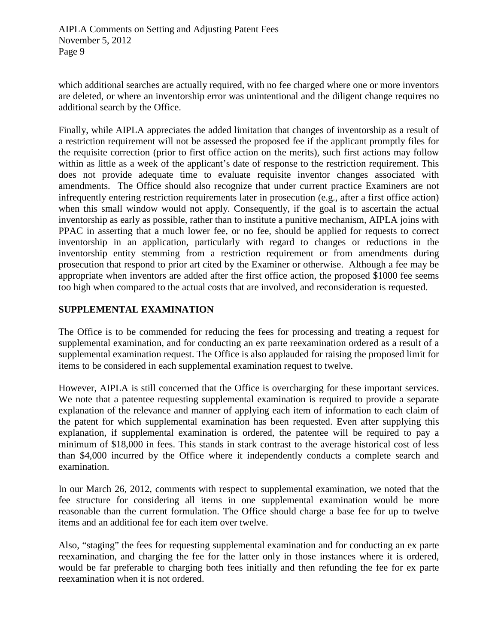which additional searches are actually required, with no fee charged where one or more inventors are deleted, or where an inventorship error was unintentional and the diligent change requires no additional search by the Office.

Finally, while AIPLA appreciates the added limitation that changes of inventorship as a result of a restriction requirement will not be assessed the proposed fee if the applicant promptly files for the requisite correction (prior to first office action on the merits), such first actions may follow within as little as a week of the applicant's date of response to the restriction requirement. This does not provide adequate time to evaluate requisite inventor changes associated with amendments. The Office should also recognize that under current practice Examiners are not infrequently entering restriction requirements later in prosecution (e.g., after a first office action) when this small window would not apply. Consequently, if the goal is to ascertain the actual inventorship as early as possible, rather than to institute a punitive mechanism, AIPLA joins with PPAC in asserting that a much lower fee, or no fee, should be applied for requests to correct inventorship in an application, particularly with regard to changes or reductions in the inventorship entity stemming from a restriction requirement or from amendments during prosecution that respond to prior art cited by the Examiner or otherwise. Although a fee may be appropriate when inventors are added after the first office action, the proposed \$1000 fee seems too high when compared to the actual costs that are involved, and reconsideration is requested.

# **SUPPLEMENTAL EXAMINATION**

The Office is to be commended for reducing the fees for processing and treating a request for supplemental examination, and for conducting an ex parte reexamination ordered as a result of a supplemental examination request. The Office is also applauded for raising the proposed limit for items to be considered in each supplemental examination request to twelve.

However, AIPLA is still concerned that the Office is overcharging for these important services. We note that a patentee requesting supplemental examination is required to provide a separate explanation of the relevance and manner of applying each item of information to each claim of the patent for which supplemental examination has been requested. Even after supplying this explanation, if supplemental examination is ordered, the patentee will be required to pay a minimum of \$18,000 in fees. This stands in stark contrast to the average historical cost of less than \$4,000 incurred by the Office where it independently conducts a complete search and examination.

In our March 26, 2012, comments with respect to supplemental examination, we noted that the fee structure for considering all items in one supplemental examination would be more reasonable than the current formulation. The Office should charge a base fee for up to twelve items and an additional fee for each item over twelve.

Also, "staging" the fees for requesting supplemental examination and for conducting an ex parte reexamination, and charging the fee for the latter only in those instances where it is ordered, would be far preferable to charging both fees initially and then refunding the fee for ex parte reexamination when it is not ordered.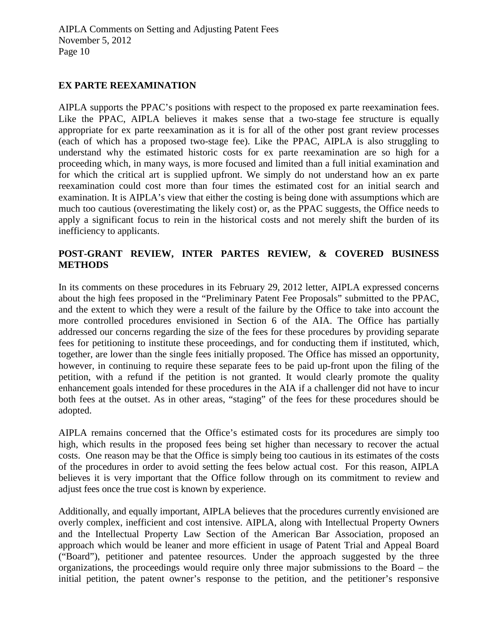## **EX PARTE REEXAMINATION**

AIPLA supports the PPAC's positions with respect to the proposed ex parte reexamination fees. Like the PPAC, AIPLA believes it makes sense that a two-stage fee structure is equally appropriate for ex parte reexamination as it is for all of the other post grant review processes (each of which has a proposed two-stage fee). Like the PPAC, AIPLA is also struggling to understand why the estimated historic costs for ex parte reexamination are so high for a proceeding which, in many ways, is more focused and limited than a full initial examination and for which the critical art is supplied upfront. We simply do not understand how an ex parte reexamination could cost more than four times the estimated cost for an initial search and examination. It is AIPLA's view that either the costing is being done with assumptions which are much too cautious (overestimating the likely cost) or, as the PPAC suggests, the Office needs to apply a significant focus to rein in the historical costs and not merely shift the burden of its inefficiency to applicants.

# **POST-GRANT REVIEW, INTER PARTES REVIEW, & COVERED BUSINESS METHODS**

In its comments on these procedures in its February 29, 2012 letter, AIPLA expressed concerns about the high fees proposed in the "Preliminary Patent Fee Proposals" submitted to the PPAC, and the extent to which they were a result of the failure by the Office to take into account the more controlled procedures envisioned in Section 6 of the AIA. The Office has partially addressed our concerns regarding the size of the fees for these procedures by providing separate fees for petitioning to institute these proceedings, and for conducting them if instituted, which, together, are lower than the single fees initially proposed. The Office has missed an opportunity, however, in continuing to require these separate fees to be paid up-front upon the filing of the petition, with a refund if the petition is not granted. It would clearly promote the quality enhancement goals intended for these procedures in the AIA if a challenger did not have to incur both fees at the outset. As in other areas, "staging" of the fees for these procedures should be adopted.

AIPLA remains concerned that the Office's estimated costs for its procedures are simply too high, which results in the proposed fees being set higher than necessary to recover the actual costs. One reason may be that the Office is simply being too cautious in its estimates of the costs of the procedures in order to avoid setting the fees below actual cost. For this reason, AIPLA believes it is very important that the Office follow through on its commitment to review and adjust fees once the true cost is known by experience.

Additionally, and equally important, AIPLA believes that the procedures currently envisioned are overly complex, inefficient and cost intensive. AIPLA, along with Intellectual Property Owners and the Intellectual Property Law Section of the American Bar Association, proposed an approach which would be leaner and more efficient in usage of Patent Trial and Appeal Board ("Board"), petitioner and patentee resources. Under the approach suggested by the three organizations, the proceedings would require only three major submissions to the Board – the initial petition, the patent owner's response to the petition, and the petitioner's responsive